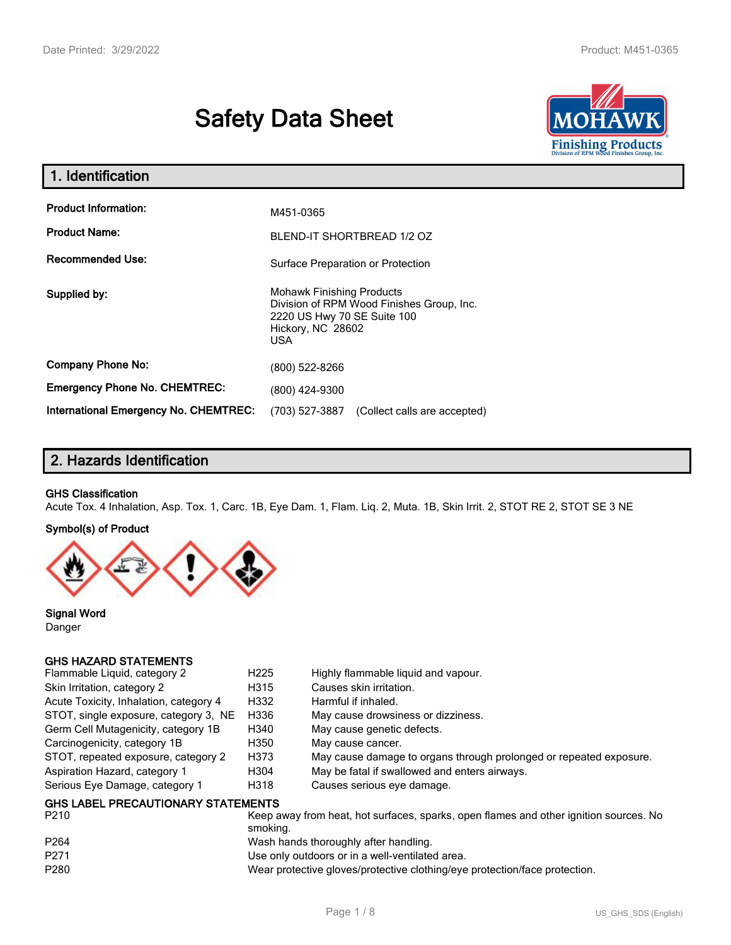# **Safety Data Sheet**



| 1. Identification                     |                                                                                                                                          |  |
|---------------------------------------|------------------------------------------------------------------------------------------------------------------------------------------|--|
| <b>Product Information:</b>           | M451-0365                                                                                                                                |  |
| <b>Product Name:</b>                  | BLEND-IT SHORTBREAD 1/2 OZ                                                                                                               |  |
| <b>Recommended Use:</b>               | Surface Preparation or Protection                                                                                                        |  |
| Supplied by:                          | <b>Mohawk Finishing Products</b><br>Division of RPM Wood Finishes Group, Inc.<br>2220 US Hwy 70 SE Suite 100<br>Hickory, NC 28602<br>USA |  |
| <b>Company Phone No:</b>              | (800) 522-8266                                                                                                                           |  |
| <b>Emergency Phone No. CHEMTREC:</b>  | (800) 424-9300                                                                                                                           |  |
| International Emergency No. CHEMTREC: | (703) 527-3887<br>(Collect calls are accepted)                                                                                           |  |

# **2. Hazards Identification**

#### **GHS Classification**

Acute Tox. 4 Inhalation, Asp. Tox. 1, Carc. 1B, Eye Dam. 1, Flam. Liq. 2, Muta. 1B, Skin Irrit. 2, STOT RE 2, STOT SE 3 NE

#### **Symbol(s) of Product**



**Signal Word** Danger

#### **GHS HAZARD STATEMENTS**

| Flammable Liquid, category 2              | H <sub>225</sub> | Highly flammable liquid and vapour.                                |
|-------------------------------------------|------------------|--------------------------------------------------------------------|
| Skin Irritation, category 2               | H315             | Causes skin irritation.                                            |
| Acute Toxicity, Inhalation, category 4    | H332             | Harmful if inhaled.                                                |
| STOT, single exposure, category 3, NE     | H336             | May cause drowsiness or dizziness.                                 |
| Germ Cell Mutagenicity, category 1B       | H340             | May cause genetic defects.                                         |
| Carcinogenicity, category 1B              | H350             | May cause cancer.                                                  |
| STOT, repeated exposure, category 2       | H373             | May cause damage to organs through prolonged or repeated exposure. |
| Aspiration Hazard, category 1             | H304             | May be fatal if swallowed and enters airways.                      |
| Serious Eye Damage, category 1            | H318             | Causes serious eye damage.                                         |
| <b>GHS LABEL PRECAUTIONARY STATEMENTS</b> |                  |                                                                    |

| P <sub>210</sub> | Keep away from heat, hot surfaces, sparks, open flames and other ignition sources. No<br>smokina. |
|------------------|---------------------------------------------------------------------------------------------------|
| P <sub>264</sub> | Wash hands thoroughly after handling.                                                             |
| P <sub>271</sub> | Use only outdoors or in a well-ventilated area.                                                   |
| P <sub>280</sub> | Wear protective gloves/protective clothing/eye protection/face protection.                        |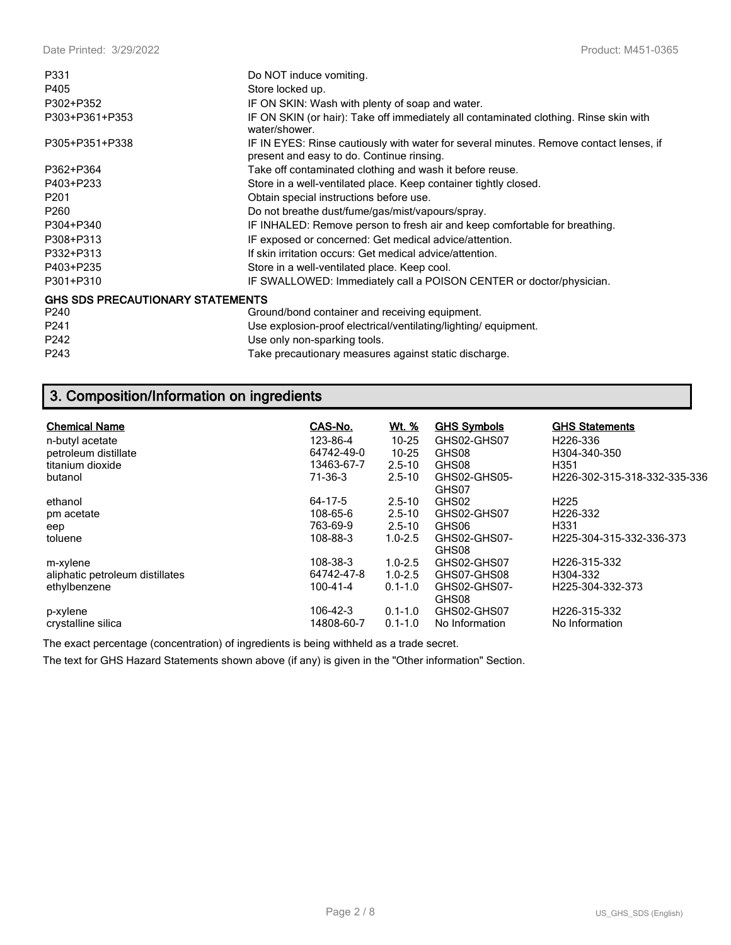| P331                                    | Do NOT induce vomiting.                                                                                                             |
|-----------------------------------------|-------------------------------------------------------------------------------------------------------------------------------------|
| P405                                    | Store locked up.                                                                                                                    |
| P302+P352                               | IF ON SKIN: Wash with plenty of soap and water.                                                                                     |
| P303+P361+P353                          | IF ON SKIN (or hair): Take off immediately all contaminated clothing. Rinse skin with<br>water/shower.                              |
| P305+P351+P338                          | IF IN EYES: Rinse cautiously with water for several minutes. Remove contact lenses, if<br>present and easy to do. Continue rinsing. |
| P362+P364                               | Take off contaminated clothing and wash it before reuse.                                                                            |
| P403+P233                               | Store in a well-ventilated place. Keep container tightly closed.                                                                    |
| P <sub>201</sub>                        | Obtain special instructions before use.                                                                                             |
| P <sub>260</sub>                        | Do not breathe dust/fume/gas/mist/vapours/spray.                                                                                    |
| P304+P340                               | IF INHALED: Remove person to fresh air and keep comfortable for breathing.                                                          |
| P308+P313                               | IF exposed or concerned: Get medical advice/attention.                                                                              |
| P332+P313                               | If skin irritation occurs: Get medical advice/attention.                                                                            |
| P403+P235                               | Store in a well-ventilated place. Keep cool.                                                                                        |
| P301+P310                               | IF SWALLOWED: Immediately call a POISON CENTER or doctor/physician.                                                                 |
| <b>GHS SDS PRECAUTIONARY STATEMENTS</b> |                                                                                                                                     |
| P <sub>240</sub>                        | Ground/bond container and receiving equipment.                                                                                      |
| P <sub>241</sub>                        | Use explosion-proof electrical/ventilating/lighting/equipment.                                                                      |
| P242                                    | Use only non-sparking tools.                                                                                                        |
| P243                                    | Take precautionary measures against static discharge.                                                                               |

# **3. Composition/Information on ingredients**

| <b>Chemical Name</b>            | CAS-No.    | <u>Wt. %</u> | <b>GHS Symbols</b>    | <b>GHS Statements</b>        |
|---------------------------------|------------|--------------|-----------------------|------------------------------|
| n-butyl acetate                 | 123-86-4   | $10 - 25$    | GHS02-GHS07           | H <sub>226</sub> -336        |
| petroleum distillate            | 64742-49-0 | $10 - 25$    | GHS08                 | H304-340-350                 |
| titanium dioxide                | 13463-67-7 | $2.5 - 10$   | GHS08                 | H <sub>351</sub>             |
| butanol                         | 71-36-3    | $2.5 - 10$   | GHS02-GHS05-<br>GHS07 | H226-302-315-318-332-335-336 |
| ethanol                         | 64-17-5    | $2.5 - 10$   | GHS02                 | H <sub>225</sub>             |
| pm acetate                      | 108-65-6   | $2.5 - 10$   | GHS02-GHS07           | H226-332                     |
| eep                             | 763-69-9   | $2.5 - 10$   | GHS06                 | H331                         |
| toluene                         | 108-88-3   | $1.0 - 2.5$  | GHS02-GHS07-<br>GHS08 | H225-304-315-332-336-373     |
| m-xylene                        | 108-38-3   | $1.0 - 2.5$  | GHS02-GHS07           | H <sub>226</sub> -315-332    |
| aliphatic petroleum distillates | 64742-47-8 | $1.0 - 2.5$  | GHS07-GHS08           | H304-332                     |
| ethylbenzene                    | 100-41-4   | $0.1 - 1.0$  | GHS02-GHS07-<br>GHS08 | H225-304-332-373             |
| p-xylene                        | 106-42-3   | $0.1 - 1.0$  | GHS02-GHS07           | H226-315-332                 |
| crystalline silica              | 14808-60-7 | $0.1 - 1.0$  | No Information        | No Information               |

The exact percentage (concentration) of ingredients is being withheld as a trade secret.

The text for GHS Hazard Statements shown above (if any) is given in the "Other information" Section.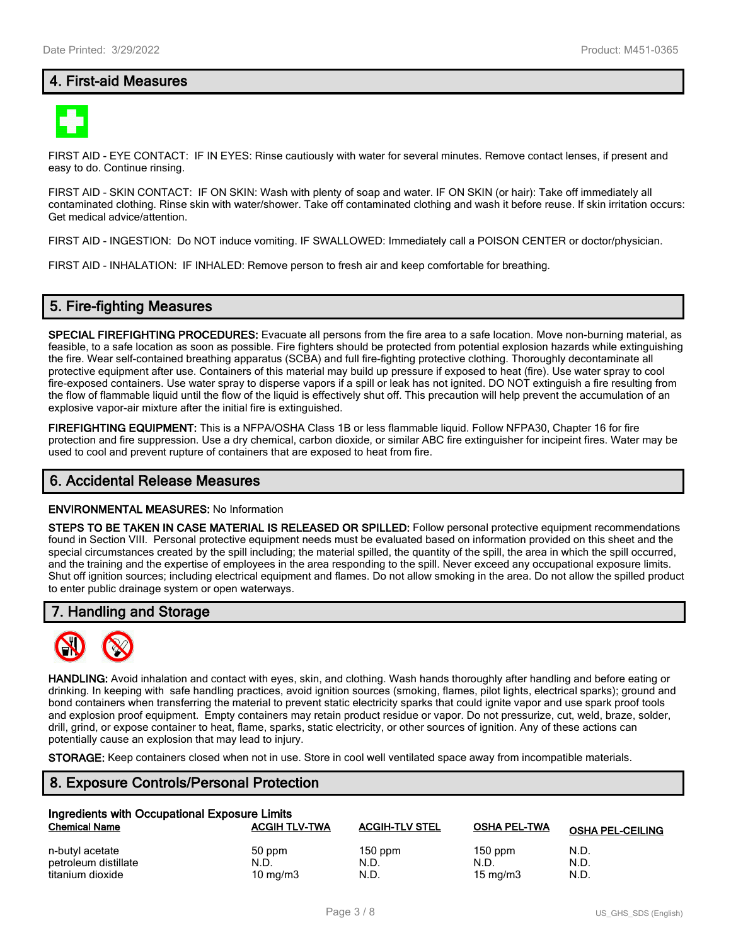# **4. First-aid Measures**



FIRST AID - EYE CONTACT: IF IN EYES: Rinse cautiously with water for several minutes. Remove contact lenses, if present and easy to do. Continue rinsing.

FIRST AID - SKIN CONTACT: IF ON SKIN: Wash with plenty of soap and water. IF ON SKIN (or hair): Take off immediately all contaminated clothing. Rinse skin with water/shower. Take off contaminated clothing and wash it before reuse. If skin irritation occurs: Get medical advice/attention.

FIRST AID - INGESTION: Do NOT induce vomiting. IF SWALLOWED: Immediately call a POISON CENTER or doctor/physician.

FIRST AID - INHALATION: IF INHALED: Remove person to fresh air and keep comfortable for breathing.

# **5. Fire-fighting Measures**

**SPECIAL FIREFIGHTING PROCEDURES:** Evacuate all persons from the fire area to a safe location. Move non-burning material, as feasible, to a safe location as soon as possible. Fire fighters should be protected from potential explosion hazards while extinguishing the fire. Wear self-contained breathing apparatus (SCBA) and full fire-fighting protective clothing. Thoroughly decontaminate all protective equipment after use. Containers of this material may build up pressure if exposed to heat (fire). Use water spray to cool fire-exposed containers. Use water spray to disperse vapors if a spill or leak has not ignited. DO NOT extinguish a fire resulting from the flow of flammable liquid until the flow of the liquid is effectively shut off. This precaution will help prevent the accumulation of an explosive vapor-air mixture after the initial fire is extinguished.

**FIREFIGHTING EQUIPMENT:** This is a NFPA/OSHA Class 1B or less flammable liquid. Follow NFPA30, Chapter 16 for fire protection and fire suppression. Use a dry chemical, carbon dioxide, or similar ABC fire extinguisher for incipeint fires. Water may be used to cool and prevent rupture of containers that are exposed to heat from fire.

#### **6. Accidental Release Measures**

#### **ENVIRONMENTAL MEASURES:** No Information

**STEPS TO BE TAKEN IN CASE MATERIAL IS RELEASED OR SPILLED:** Follow personal protective equipment recommendations found in Section VIII. Personal protective equipment needs must be evaluated based on information provided on this sheet and the special circumstances created by the spill including; the material spilled, the quantity of the spill, the area in which the spill occurred, and the training and the expertise of employees in the area responding to the spill. Never exceed any occupational exposure limits. Shut off ignition sources; including electrical equipment and flames. Do not allow smoking in the area. Do not allow the spilled product to enter public drainage system or open waterways.

#### **7. Handling and Storage**



**HANDLING:** Avoid inhalation and contact with eyes, skin, and clothing. Wash hands thoroughly after handling and before eating or drinking. In keeping with safe handling practices, avoid ignition sources (smoking, flames, pilot lights, electrical sparks); ground and bond containers when transferring the material to prevent static electricity sparks that could ignite vapor and use spark proof tools and explosion proof equipment. Empty containers may retain product residue or vapor. Do not pressurize, cut, weld, braze, solder, drill, grind, or expose container to heat, flame, sparks, static electricity, or other sources of ignition. Any of these actions can potentially cause an explosion that may lead to injury.

**STORAGE:** Keep containers closed when not in use. Store in cool well ventilated space away from incompatible materials.

# **8. Exposure Controls/Personal Protection**

| Ingredients with Occupational Exposure Limits |                      |                       |                     |                         |  |
|-----------------------------------------------|----------------------|-----------------------|---------------------|-------------------------|--|
| <b>Chemical Name</b>                          | <b>ACGIH TLV-TWA</b> | <b>ACGIH-TLV STEL</b> | <b>OSHA PEL-TWA</b> | <b>OSHA PEL-CEILING</b> |  |
| n-butyl acetate                               | 50 ppm               | $150$ ppm             | $150$ ppm           | N.D.                    |  |
| petroleum distillate                          | N.D.                 | N.D.                  | N.D.                | N.D.                    |  |
| titanium dioxide                              | $10 \text{ mg/m}$    | N.D.                  | $15 \text{ mg/m}$   | N.D.                    |  |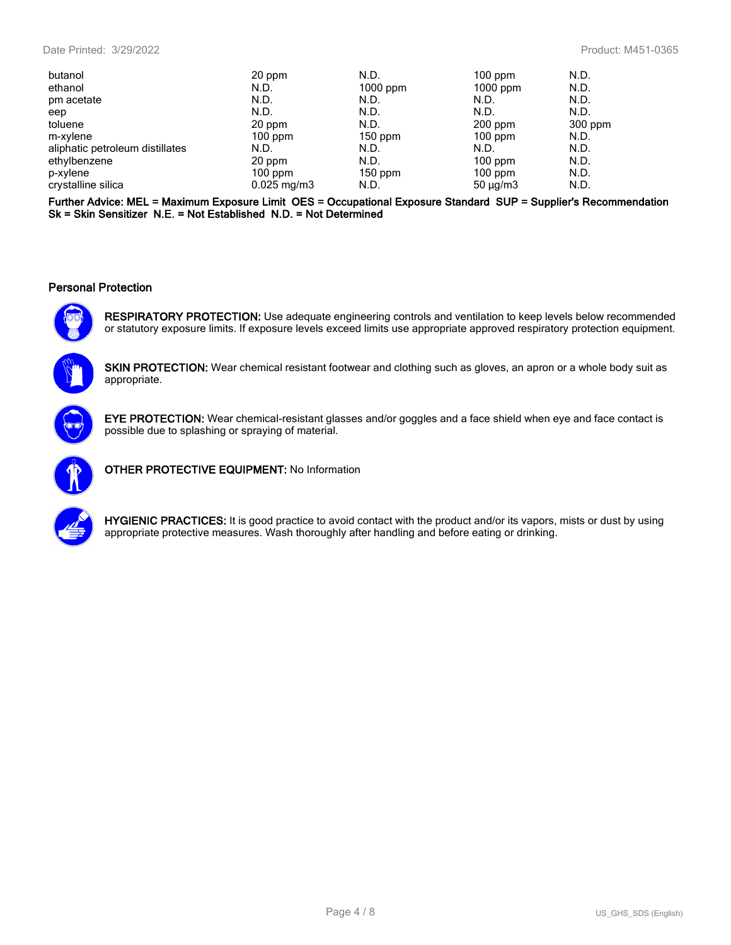| 20 ppm                   | N.D.       | $100$ ppm     | N.D.    |
|--------------------------|------------|---------------|---------|
| N.D.                     | $1000$ ppm | $1000$ ppm    | N.D.    |
| N.D.                     | N.D.       | N.D.          | N.D.    |
| N.D.                     | N.D.       | N.D.          | N.D.    |
| 20 ppm                   | N.D.       | $200$ ppm     | 300 ppm |
| $100$ ppm                | $150$ ppm  | $100$ ppm     | N.D.    |
| N.D.                     | N.D.       | N.D.          | N.D.    |
| 20 ppm                   | N.D.       | $100$ ppm     | N.D.    |
| $100$ ppm                | $150$ ppm  | $100$ ppm     | N.D.    |
| $0.025 \,\mathrm{mg/m3}$ | N.D.       | $50 \mu g/m3$ | N.D.    |
|                          |            |               |         |

**Further Advice: MEL = Maximum Exposure Limit OES = Occupational Exposure Standard SUP = Supplier's Recommendation Sk = Skin Sensitizer N.E. = Not Established N.D. = Not Determined**

#### **Personal Protection**



**RESPIRATORY PROTECTION:** Use adequate engineering controls and ventilation to keep levels below recommended or statutory exposure limits. If exposure levels exceed limits use appropriate approved respiratory protection equipment.



**SKIN PROTECTION:** Wear chemical resistant footwear and clothing such as gloves, an apron or a whole body suit as appropriate.



**EYE PROTECTION:** Wear chemical-resistant glasses and/or goggles and a face shield when eye and face contact is possible due to splashing or spraying of material.



**OTHER PROTECTIVE EQUIPMENT:** No Information



**HYGIENIC PRACTICES:** It is good practice to avoid contact with the product and/or its vapors, mists or dust by using appropriate protective measures. Wash thoroughly after handling and before eating or drinking.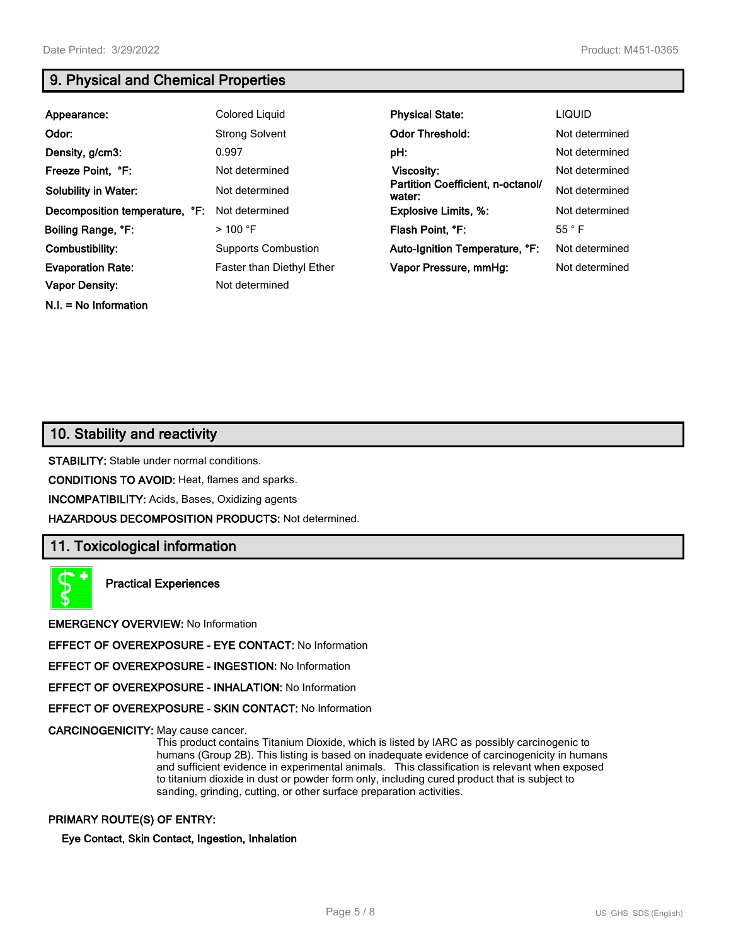# **9. Physical and Chemical Properties**

| Appearance:                    | Colored Liguid                   | <b>Physical State:</b>                      | <b>LIQUID</b>  |
|--------------------------------|----------------------------------|---------------------------------------------|----------------|
| Odor:                          | <b>Strong Solvent</b>            | <b>Odor Threshold:</b>                      | Not determined |
| Density, g/cm3:                | 0.997                            | pH:                                         | Not determined |
| Freeze Point, °F:              | Not determined                   | Viscosity:                                  | Not determined |
| <b>Solubility in Water:</b>    | Not determined                   | Partition Coefficient, n-octanol/<br>water: | Not determined |
| Decomposition temperature, °F: | Not determined                   | <b>Explosive Limits, %:</b>                 | Not determined |
| Boiling Range, °F:             | $>$ 100 °F                       | Flash Point. °F:                            | $55^{\circ}$ F |
| Combustibility:                | <b>Supports Combustion</b>       | Auto-Ignition Temperature, °F:              | Not determined |
| <b>Evaporation Rate:</b>       | <b>Faster than Diethyl Ether</b> | Vapor Pressure, mmHg:                       | Not determined |
| <b>Vapor Density:</b>          | Not determined                   |                                             |                |

**N.I. = No Information**

**10. Stability and reactivity**

**STABILITY:** Stable under normal conditions.

**CONDITIONS TO AVOID:** Heat, flames and sparks.

**INCOMPATIBILITY:** Acids, Bases, Oxidizing agents

**HAZARDOUS DECOMPOSITION PRODUCTS:** Not determined.

# **11. Toxicological information**

**Practical Experiences**

**EMERGENCY OVERVIEW:** No Information

**EFFECT OF OVEREXPOSURE - EYE CONTACT:** No Information

**EFFECT OF OVEREXPOSURE - INGESTION:** No Information

**EFFECT OF OVEREXPOSURE - INHALATION:** No Information

**EFFECT OF OVEREXPOSURE - SKIN CONTACT:** No Information

**CARCINOGENICITY:** May cause cancer.

This product contains Titanium Dioxide, which is listed by IARC as possibly carcinogenic to humans (Group 2B). This listing is based on inadequate evidence of carcinogenicity in humans and sufficient evidence in experimental animals. This classification is relevant when exposed to titanium dioxide in dust or powder form only, including cured product that is subject to sanding, grinding, cutting, or other surface preparation activities.

#### **PRIMARY ROUTE(S) OF ENTRY:**

**Eye Contact, Skin Contact, Ingestion, Inhalation**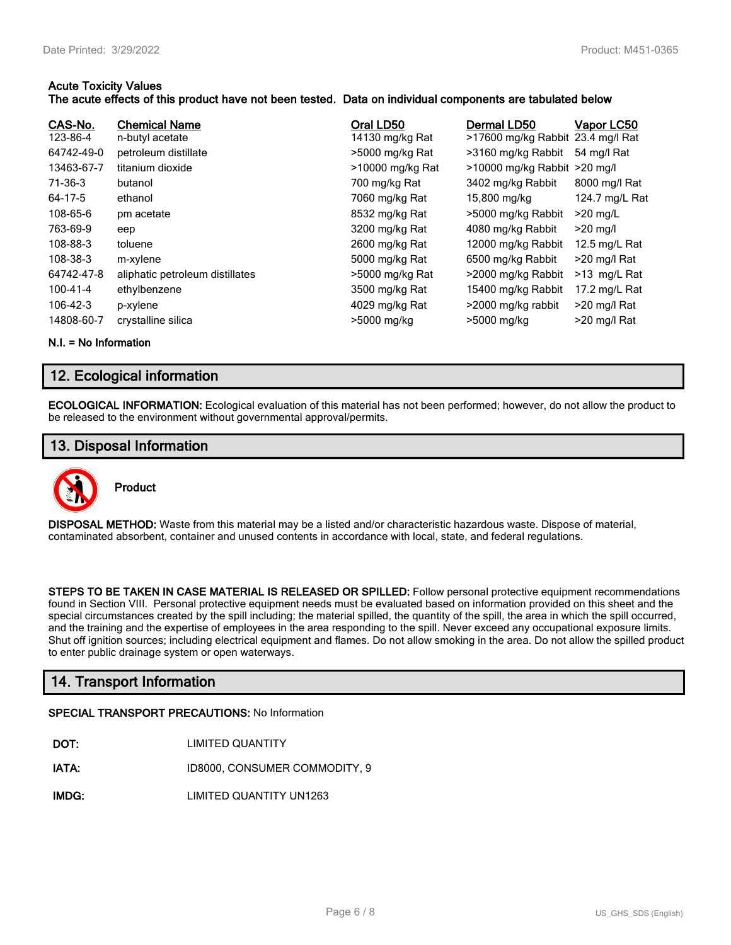#### **Acute Toxicity Values**

#### **The acute effects of this product have not been tested. Data on individual components are tabulated below**

| CAS-No.<br>123-86-4<br>64742-49-0<br>13463-67-7<br>71-36-3<br>64-17-5<br>108-65-6<br>763-69-9<br>108-88-3 | <b>Chemical Name</b><br>n-butyl acetate<br>petroleum distillate<br>titanium dioxide<br>butanol<br>ethanol<br>pm acetate<br>eep<br>toluene | Oral LD50<br>14130 mg/kg Rat<br>>5000 mg/kg Rat<br>>10000 mg/kg Rat<br>700 mg/kg Rat<br>7060 mg/kg Rat<br>8532 mg/kg Rat<br>3200 mg/kg Rat<br>2600 mg/kg Rat | Dermal LD50<br>>17600 mg/kg Rabbit 23.4 mg/l Rat<br>>3160 mg/kg Rabbit<br>$>10000$ mg/kg Rabbit $>20$ mg/l<br>3402 mg/kg Rabbit<br>15,800 mg/kg<br>>5000 mg/kg Rabbit<br>4080 mg/kg Rabbit<br>12000 mg/kg Rabbit | Vapor LC50<br>54 mg/l Rat<br>8000 mg/l Rat<br>124.7 mg/L Rat<br>$>20$ mg/L<br>$>20$ mg/l<br>12.5 mg/L Rat |
|-----------------------------------------------------------------------------------------------------------|-------------------------------------------------------------------------------------------------------------------------------------------|--------------------------------------------------------------------------------------------------------------------------------------------------------------|------------------------------------------------------------------------------------------------------------------------------------------------------------------------------------------------------------------|-----------------------------------------------------------------------------------------------------------|
|                                                                                                           |                                                                                                                                           |                                                                                                                                                              |                                                                                                                                                                                                                  |                                                                                                           |
|                                                                                                           |                                                                                                                                           |                                                                                                                                                              |                                                                                                                                                                                                                  |                                                                                                           |
|                                                                                                           |                                                                                                                                           |                                                                                                                                                              |                                                                                                                                                                                                                  |                                                                                                           |
|                                                                                                           |                                                                                                                                           |                                                                                                                                                              |                                                                                                                                                                                                                  |                                                                                                           |
|                                                                                                           |                                                                                                                                           |                                                                                                                                                              |                                                                                                                                                                                                                  |                                                                                                           |
| 108-38-3                                                                                                  | m-xylene                                                                                                                                  | 5000 mg/kg Rat                                                                                                                                               | 6500 mg/kg Rabbit                                                                                                                                                                                                | >20 mg/l Rat                                                                                              |
| 64742-47-8                                                                                                | aliphatic petroleum distillates                                                                                                           | >5000 mg/kg Rat                                                                                                                                              | >2000 mg/kg Rabbit                                                                                                                                                                                               | >13 mg/L Rat                                                                                              |
| 100-41-4                                                                                                  | ethylbenzene                                                                                                                              | 3500 mg/kg Rat                                                                                                                                               | 15400 mg/kg Rabbit                                                                                                                                                                                               | 17.2 mg/L Rat                                                                                             |
| $106 - 42 - 3$                                                                                            | p-xylene                                                                                                                                  | 4029 mg/kg Rat                                                                                                                                               | >2000 mg/kg rabbit                                                                                                                                                                                               | >20 mg/l Rat                                                                                              |
| 14808-60-7                                                                                                | crystalline silica                                                                                                                        | >5000 mg/kg                                                                                                                                                  | >5000 mg/kg                                                                                                                                                                                                      | >20 mg/l Rat                                                                                              |
|                                                                                                           |                                                                                                                                           |                                                                                                                                                              |                                                                                                                                                                                                                  |                                                                                                           |

**N.I. = No Information**

# **12. Ecological information**

**ECOLOGICAL INFORMATION:** Ecological evaluation of this material has not been performed; however, do not allow the product to be released to the environment without governmental approval/permits.

# **13. Disposal Information**



**DISPOSAL METHOD:** Waste from this material may be a listed and/or characteristic hazardous waste. Dispose of material, contaminated absorbent, container and unused contents in accordance with local, state, and federal regulations.

**STEPS TO BE TAKEN IN CASE MATERIAL IS RELEASED OR SPILLED:** Follow personal protective equipment recommendations found in Section VIII. Personal protective equipment needs must be evaluated based on information provided on this sheet and the special circumstances created by the spill including; the material spilled, the quantity of the spill, the area in which the spill occurred, and the training and the expertise of employees in the area responding to the spill. Never exceed any occupational exposure limits. Shut off ignition sources; including electrical equipment and flames. Do not allow smoking in the area. Do not allow the spilled product to enter public drainage system or open waterways.

# **14. Transport Information**

#### **SPECIAL TRANSPORT PRECAUTIONS:** No Information

**IATA:** ID8000, CONSUMER COMMODITY, 9

**IMDG:** LIMITED QUANTITY UN1263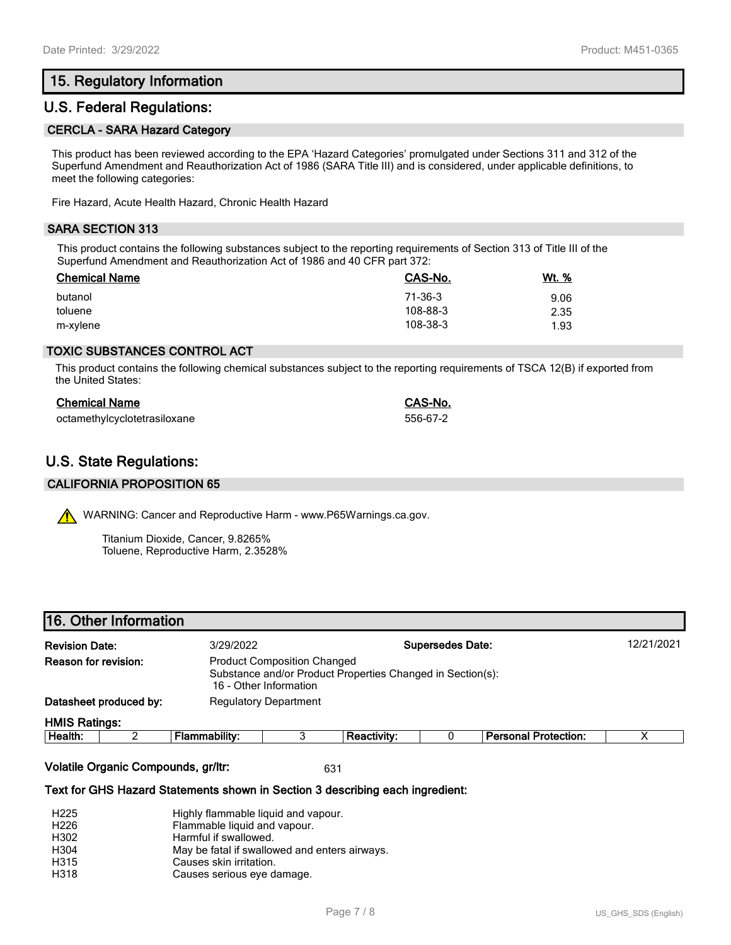# **15. Regulatory Information**

# **U.S. Federal Regulations:**

#### **CERCLA - SARA Hazard Category**

This product has been reviewed according to the EPA 'Hazard Categories' promulgated under Sections 311 and 312 of the Superfund Amendment and Reauthorization Act of 1986 (SARA Title III) and is considered, under applicable definitions, to meet the following categories:

Fire Hazard, Acute Health Hazard, Chronic Health Hazard

#### **SARA SECTION 313**

This product contains the following substances subject to the reporting requirements of Section 313 of Title III of the Superfund Amendment and Reauthorization Act of 1986 and 40 CFR part 372:

| <b>Chemical Name</b> | CAS-No.  | Wt. % |
|----------------------|----------|-------|
| butanol              | 71-36-3  | 9.06  |
| toluene              | 108-88-3 | 2.35  |
| m-xylene             | 108-38-3 | 1.93  |

#### **TOXIC SUBSTANCES CONTROL ACT**

This product contains the following chemical substances subject to the reporting requirements of TSCA 12(B) if exported from the United States:

| <b>Chemical Name</b>         | CAS-No.  |
|------------------------------|----------|
| octamethylcyclotetrasiloxane | 556-67-2 |

# **U.S. State Regulations:**

#### **CALIFORNIA PROPOSITION 65**

WARNING: Cancer and Reproductive Harm - www.P65Warnings.ca.gov.

Titanium Dioxide, Cancer, 9.8265% Toluene, Reproductive Harm, 2.3528%

### **16. Other Information**

| <b>Revision Date:</b>                                   | 3/29/2022                                                                                                                  |                              |                                      | <b>Supersedes Date:</b> |                       | 12/21/2021 |
|---------------------------------------------------------|----------------------------------------------------------------------------------------------------------------------------|------------------------------|--------------------------------------|-------------------------|-----------------------|------------|
| Reason for revision:                                    | <b>Product Composition Changed</b><br>Substance and/or Product Properties Changed in Section(s):<br>16 - Other Information |                              |                                      |                         |                       |            |
| Datasheet produced by:                                  |                                                                                                                            | <b>Regulatory Department</b> |                                      |                         |                       |            |
| <b>HMIS Ratings:</b><br>$\pm 1$ and $\pm 1$ and $\pm 1$ | The compact of the co                                                                                                      |                              | <b>D</b> and a state of the state of |                         | Benedict Books of the | $\lambda$  |

| ealth.<br>не | . | . | tection<br>- -- - - - -<br>–…<br>лг |  |
|--------------|---|---|-------------------------------------|--|
|              |   |   |                                     |  |

**Volatile Organic Compounds, gr/ltr:** 631

#### **Text for GHS Hazard Statements shown in Section 3 describing each ingredient:**

| H <sub>225</sub> | Highly flammable liquid and vapour.           |
|------------------|-----------------------------------------------|
| H <sub>226</sub> | Flammable liquid and vapour.                  |
| H302             | Harmful if swallowed.                         |
| H304             | May be fatal if swallowed and enters airways. |
| H315             | Causes skin irritation.                       |
| H318             | Causes serious eye damage.                    |